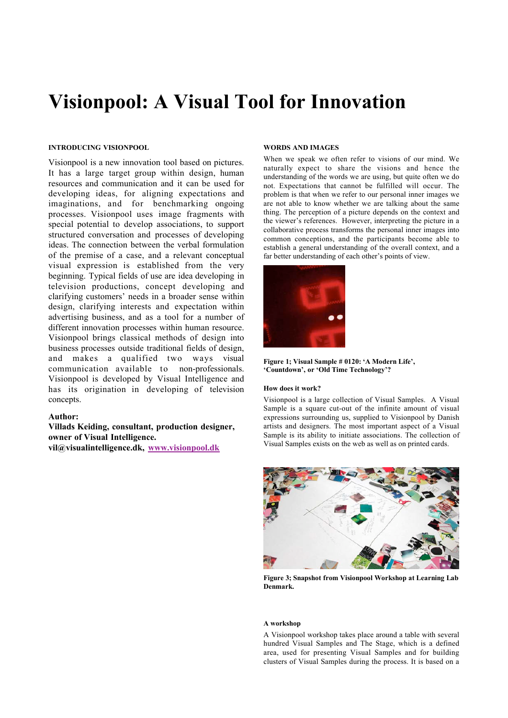# Visionpool: A Visual Tool for Innovation

# INTRODUCING VISIONPOOL

Visionpool is a new innovation tool based on pictures. It has a large target group within design, human resources and communication and it can be used for developing ideas, for aligning expectations and imaginations, and for benchmarking ongoing processes. Visionpool uses image fragments with special potential to develop associations, to support structured conversation and processes of developing ideas. The connection between the verbal formulation of the premise of a case, and a relevant conceptual visual expression is established from the very beginning. Typical fields of use are idea developing in television productions, concept developing and clarifying customers' needs in a broader sense within design, clarifying interests and expectation within advertising business, and as a tool for a number of different innovation processes within human resource. Visionpool brings classical methods of design into business processes outside traditional fields of design, and makes a qualified two ways visual communication available to non-professionals. Visionpool is developed by Visual Intelligence and has its origination in developing of television concepts.

## Author:

Villads Keiding, consultant, production designer, owner of Visual Intelligence. vil@visualintelligence.dk, www.visionpool.dk

#### WORDS AND IMAGES

When we speak we often refer to visions of our mind. We naturally expect to share the visions and hence the understanding of the words we are using, but quite often we do not. Expectations that cannot be fulfilled will occur. The problem is that when we refer to our personal inner images we are not able to know whether we are talking about the same thing. The perception of a picture depends on the context and the viewer's references. However, interpreting the picture in a collaborative process transforms the personal inner images into common conceptions, and the participants become able to establish a general understanding of the overall context, and a far better understanding of each other's points of view.



Figure 1; Visual Sample # 0120: 'A Modern Life', 'Countdown', or 'Old Time Technology'?

## How does it work?

Visionpool is a large collection of Visual Samples. A Visual Sample is a square cut-out of the infinite amount of visual expressions surrounding us, supplied to Visionpool by Danish artists and designers. The most important aspect of a Visual Sample is its ability to initiate associations. The collection of Visual Samples exists on the web as well as on printed cards.



Figure 3; Snapshot from Visionpool Workshop at Learning Lab Denmark.

#### A workshop

A Visionpool workshop takes place around a table with several hundred Visual Samples and The Stage, which is a defined area, used for presenting Visual Samples and for building clusters of Visual Samples during the process. It is based on a